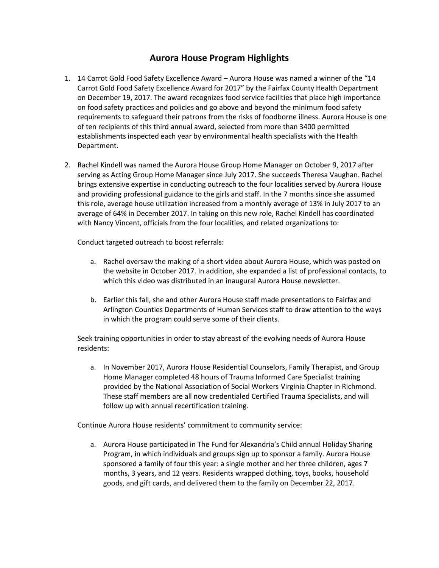## **Aurora House Program Highlights**

- 1. 14 Carrot Gold Food Safety Excellence Award Aurora House was named a winner of the "14 Carrot Gold Food Safety Excellence Award for 2017" by the Fairfax County Health Department on December 19, 2017. The award recognizes food service facilities that place high importance on food safety practices and policies and go above and beyond the minimum food safety requirements to safeguard their patrons from the risks of foodborne illness. Aurora House is one of ten recipients of this third annual award, selected from more than 3400 permitted establishments inspected each year by environmental health specialists with the Health Department.
- 2. Rachel Kindell was named the Aurora House Group Home Manager on October 9, 2017 after serving as Acting Group Home Manager since July 2017. She succeeds Theresa Vaughan. Rachel brings extensive expertise in conducting outreach to the four localities served by Aurora House and providing professional guidance to the girls and staff. In the 7 months since she assumed this role, average house utilization increased from a monthly average of 13% in July 2017 to an average of 64% in December 2017. In taking on this new role, Rachel Kindell has coordinated with Nancy Vincent, officials from the four localities, and related organizations to:

Conduct targeted outreach to boost referrals:

- a. Rachel oversaw the making of a short video about Aurora House, which was posted on the website in October 2017. In addition, she expanded a list of professional contacts, to which this video was distributed in an inaugural Aurora House newsletter.
- b. Earlier this fall, she and other Aurora House staff made presentations to Fairfax and Arlington Counties Departments of Human Services staff to draw attention to the ways in which the program could serve some of their clients.

Seek training opportunities in order to stay abreast of the evolving needs of Aurora House residents:

a. In November 2017, Aurora House Residential Counselors, Family Therapist, and Group Home Manager completed 48 hours of Trauma Informed Care Specialist training provided by the National Association of Social Workers Virginia Chapter in Richmond. These staff members are all now credentialed Certified Trauma Specialists, and will follow up with annual recertification training.

Continue Aurora House residents' commitment to community service:

a. Aurora House participated in The Fund for Alexandria's Child annual Holiday Sharing Program, in which individuals and groups sign up to sponsor a family. Aurora House sponsored a family of four this year: a single mother and her three children, ages 7 months, 3 years, and 12 years. Residents wrapped clothing, toys, books, household goods, and gift cards, and delivered them to the family on December 22, 2017.